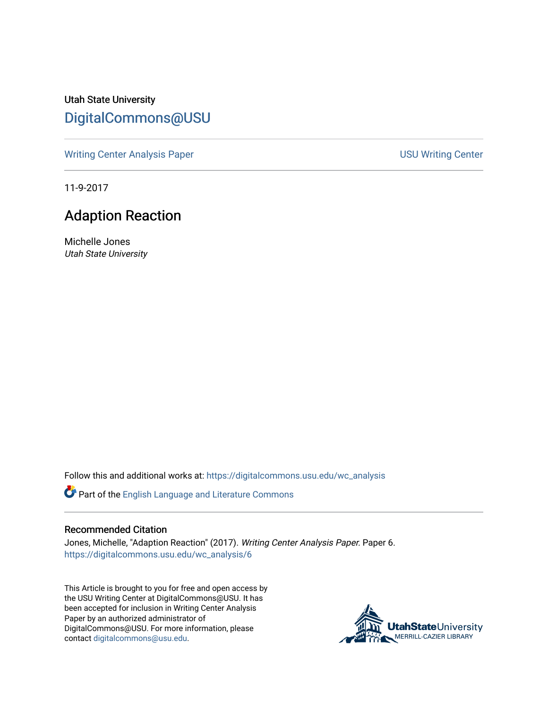Utah State University [DigitalCommons@USU](https://digitalcommons.usu.edu/)

[Writing Center Analysis Paper](https://digitalcommons.usu.edu/wc_analysis) National Communication of the USU Writing Center

11-9-2017

## Adaption Reaction

Michelle Jones Utah State University

Follow this and additional works at: [https://digitalcommons.usu.edu/wc\\_analysis](https://digitalcommons.usu.edu/wc_analysis?utm_source=digitalcommons.usu.edu%2Fwc_analysis%2F6&utm_medium=PDF&utm_campaign=PDFCoverPages) 

Part of the [English Language and Literature Commons](http://network.bepress.com/hgg/discipline/455?utm_source=digitalcommons.usu.edu%2Fwc_analysis%2F6&utm_medium=PDF&utm_campaign=PDFCoverPages)

## Recommended Citation

Jones, Michelle, "Adaption Reaction" (2017). Writing Center Analysis Paper. Paper 6. [https://digitalcommons.usu.edu/wc\\_analysis/6](https://digitalcommons.usu.edu/wc_analysis/6?utm_source=digitalcommons.usu.edu%2Fwc_analysis%2F6&utm_medium=PDF&utm_campaign=PDFCoverPages) 

This Article is brought to you for free and open access by the USU Writing Center at DigitalCommons@USU. It has been accepted for inclusion in Writing Center Analysis Paper by an authorized administrator of DigitalCommons@USU. For more information, please contact [digitalcommons@usu.edu](mailto:digitalcommons@usu.edu).

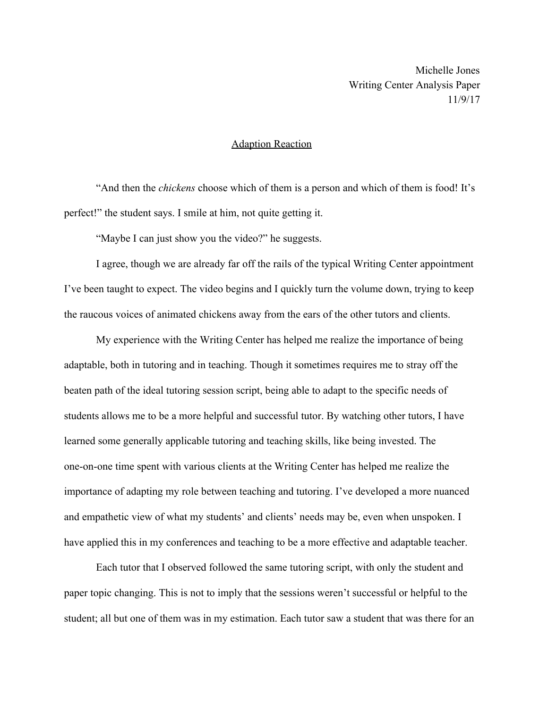Michelle Jones Writing Center Analysis Paper 11/9/17

## Adaption Reaction

"And then the *chickens* choose which of them is a person and which of them is food! It's perfect!" the student says. I smile at him, not quite getting it.

"Maybe I can just show you the video?" he suggests.

I agree, though we are already far off the rails of the typical Writing Center appointment I've been taught to expect. The video begins and I quickly turn the volume down, trying to keep the raucous voices of animated chickens away from the ears of the other tutors and clients.

My experience with the Writing Center has helped me realize the importance of being adaptable, both in tutoring and in teaching. Though it sometimes requires me to stray off the beaten path of the ideal tutoring session script, being able to adapt to the specific needs of students allows me to be a more helpful and successful tutor. By watching other tutors, I have learned some generally applicable tutoring and teaching skills, like being invested. The one-on-one time spent with various clients at the Writing Center has helped me realize the importance of adapting my role between teaching and tutoring. I've developed a more nuanced and empathetic view of what my students' and clients' needs may be, even when unspoken. I have applied this in my conferences and teaching to be a more effective and adaptable teacher.

Each tutor that I observed followed the same tutoring script, with only the student and paper topic changing. This is not to imply that the sessions weren't successful or helpful to the student; all but one of them was in my estimation. Each tutor saw a student that was there for an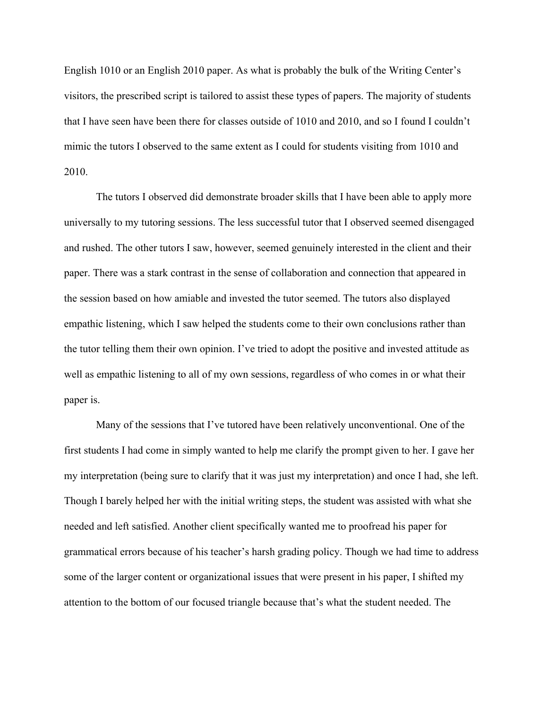English 1010 or an English 2010 paper. As what is probably the bulk of the Writing Center's visitors, the prescribed script is tailored to assist these types of papers. The majority of students that I have seen have been there for classes outside of 1010 and 2010, and so I found I couldn't mimic the tutors I observed to the same extent as I could for students visiting from 1010 and 2010.

The tutors I observed did demonstrate broader skills that I have been able to apply more universally to my tutoring sessions. The less successful tutor that I observed seemed disengaged and rushed. The other tutors I saw, however, seemed genuinely interested in the client and their paper. There was a stark contrast in the sense of collaboration and connection that appeared in the session based on how amiable and invested the tutor seemed. The tutors also displayed empathic listening, which I saw helped the students come to their own conclusions rather than the tutor telling them their own opinion. I've tried to adopt the positive and invested attitude as well as empathic listening to all of my own sessions, regardless of who comes in or what their paper is.

Many of the sessions that I've tutored have been relatively unconventional. One of the first students I had come in simply wanted to help me clarify the prompt given to her. I gave her my interpretation (being sure to clarify that it was just my interpretation) and once I had, she left. Though I barely helped her with the initial writing steps, the student was assisted with what she needed and left satisfied. Another client specifically wanted me to proofread his paper for grammatical errors because of his teacher's harsh grading policy. Though we had time to address some of the larger content or organizational issues that were present in his paper, I shifted my attention to the bottom of our focused triangle because that's what the student needed. The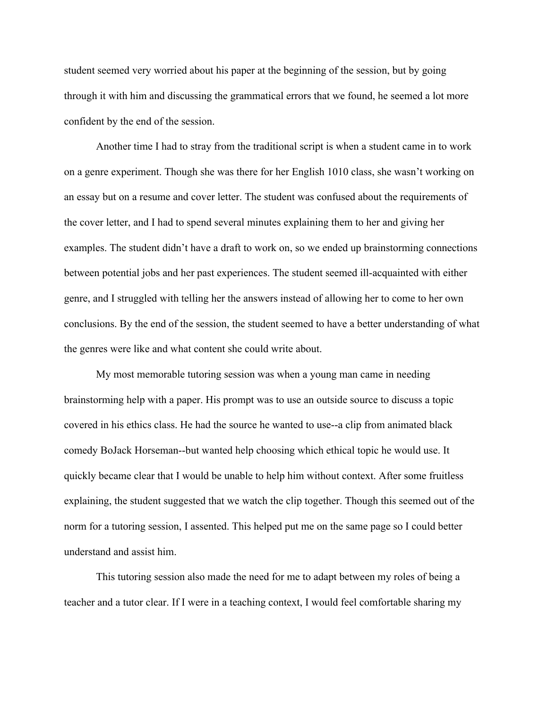student seemed very worried about his paper at the beginning of the session, but by going through it with him and discussing the grammatical errors that we found, he seemed a lot more confident by the end of the session.

Another time I had to stray from the traditional script is when a student came in to work on a genre experiment. Though she was there for her English 1010 class, she wasn't working on an essay but on a resume and cover letter. The student was confused about the requirements of the cover letter, and I had to spend several minutes explaining them to her and giving her examples. The student didn't have a draft to work on, so we ended up brainstorming connections between potential jobs and her past experiences. The student seemed ill-acquainted with either genre, and I struggled with telling her the answers instead of allowing her to come to her own conclusions. By the end of the session, the student seemed to have a better understanding of what the genres were like and what content she could write about.

My most memorable tutoring session was when a young man came in needing brainstorming help with a paper. His prompt was to use an outside source to discuss a topic covered in his ethics class. He had the source he wanted to use--a clip from animated black comedy BoJack Horseman--but wanted help choosing which ethical topic he would use. It quickly became clear that I would be unable to help him without context. After some fruitless explaining, the student suggested that we watch the clip together. Though this seemed out of the norm for a tutoring session, I assented. This helped put me on the same page so I could better understand and assist him.

This tutoring session also made the need for me to adapt between my roles of being a teacher and a tutor clear. If I were in a teaching context, I would feel comfortable sharing my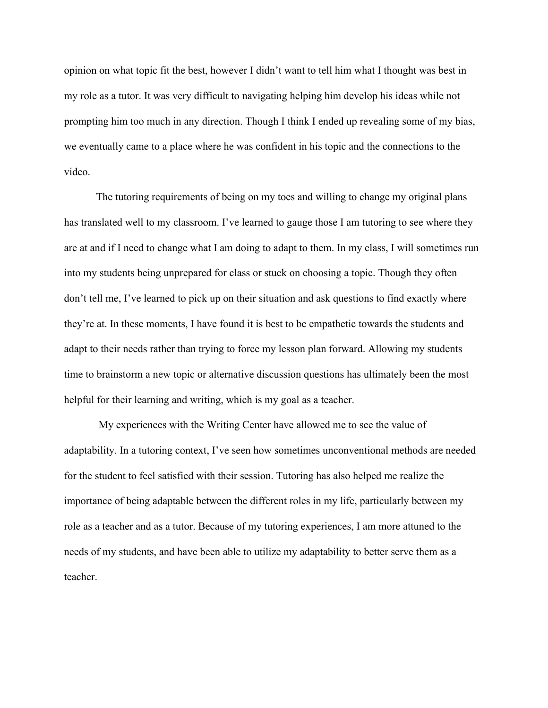opinion on what topic fit the best, however I didn't want to tell him what I thought was best in my role as a tutor. It was very difficult to navigating helping him develop his ideas while not prompting him too much in any direction. Though I think I ended up revealing some of my bias, we eventually came to a place where he was confident in his topic and the connections to the video.

The tutoring requirements of being on my toes and willing to change my original plans has translated well to my classroom. I've learned to gauge those I am tutoring to see where they are at and if I need to change what I am doing to adapt to them. In my class, I will sometimes run into my students being unprepared for class or stuck on choosing a topic. Though they often don't tell me, I've learned to pick up on their situation and ask questions to find exactly where they're at. In these moments, I have found it is best to be empathetic towards the students and adapt to their needs rather than trying to force my lesson plan forward. Allowing my students time to brainstorm a new topic or alternative discussion questions has ultimately been the most helpful for their learning and writing, which is my goal as a teacher.

 My experiences with the Writing Center have allowed me to see the value of adaptability. In a tutoring context, I've seen how sometimes unconventional methods are needed for the student to feel satisfied with their session. Tutoring has also helped me realize the importance of being adaptable between the different roles in my life, particularly between my role as a teacher and as a tutor. Because of my tutoring experiences, I am more attuned to the needs of my students, and have been able to utilize my adaptability to better serve them as a teacher.